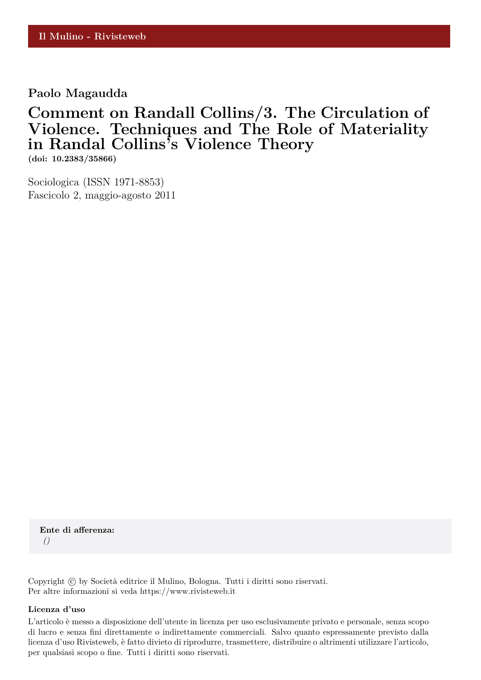### **Paolo Magaudda**

## **Comment on Randall Collins/3. The Circulation of Violence. Techniques and The Role of Materiality in Randal Collins's Violence Theory**

**(doi: 10.2383/35866)**

Sociologica (ISSN 1971-8853) Fascicolo 2, maggio-agosto 2011

**Ente di afferenza:** *()*

Copyright © by Società editrice il Mulino, Bologna. Tutti i diritti sono riservati. Per altre informazioni si veda https://www.rivisteweb.it

#### **Licenza d'uso**

L'articolo è messo a disposizione dell'utente in licenza per uso esclusivamente privato e personale, senza scopo di lucro e senza fini direttamente o indirettamente commerciali. Salvo quanto espressamente previsto dalla licenza d'uso Rivisteweb, è fatto divieto di riprodurre, trasmettere, distribuire o altrimenti utilizzare l'articolo, per qualsiasi scopo o fine. Tutti i diritti sono riservati.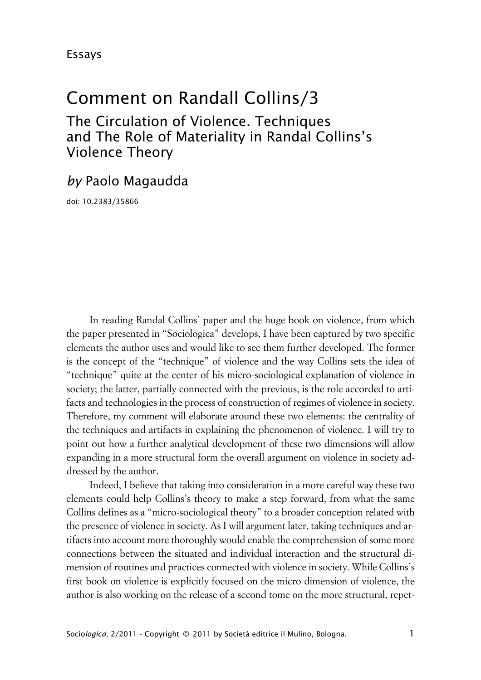# Comment on Randall Collins/3

The Circulation of Violence. Techniques and The Role of Materiality in Randal Collins's Violence Theory

### *by* Paolo Magaudda

doi: 10.2383/35866

In reading Randal Collins' paper and the huge book on violence, from which the paper presented in "Sociologica" develops, I have been captured by two specific elements the author uses and would like to see them further developed. The former is the concept of the "technique" of violence and the way Collins sets the idea of "technique" quite at the center of his micro-sociological explanation of violence in society; the latter, partially connected with the previous, is the role accorded to artifacts and technologies in the process of construction of regimes of violence in society. Therefore, my comment will elaborate around these two elements: the centrality of the techniques and artifacts in explaining the phenomenon of violence. I will try to point out how a further analytical development of these two dimensions will allow expanding in a more structural form the overall argument on violence in society addressed by the author.

Indeed, I believe that taking into consideration in a more careful way these two elements could help Collins's theory to make a step forward, from what the same Collins defines as a "micro-sociological theory" to a broader conception related with the presence of violence in society. As I will argument later, taking techniques and artifacts into account more thoroughly would enable the comprehension of some more connections between the situated and individual interaction and the structural dimension of routines and practices connected with violence in society. While Collins's first book on violence is explicitly focused on the micro dimension of violence, the author is also working on the release of a second tome on the more structural, repet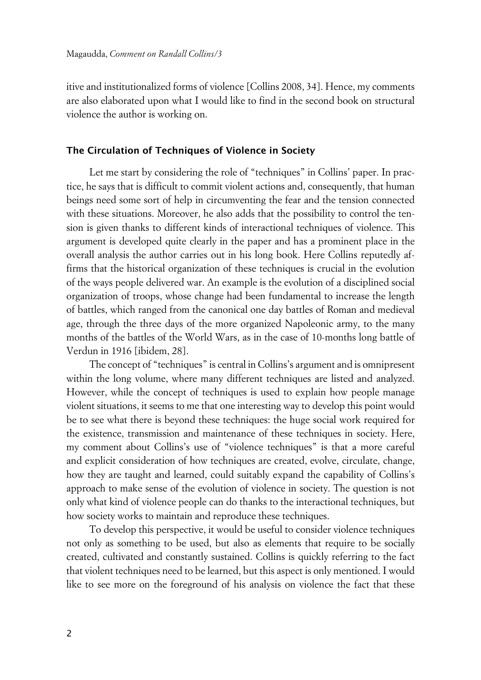itive and institutionalized forms of violence [Collins 2008, 34]. Hence, my comments are also elaborated upon what I would like to find in the second book on structural violence the author is working on.

#### **xThe Circulation of Techniques of Violence in Society**

Let me start by considering the role of "techniques" in Collins' paper. In practice, he says that is difficult to commit violent actions and, consequently, that human beings need some sort of help in circumventing the fear and the tension connected with these situations. Moreover, he also adds that the possibility to control the tension is given thanks to different kinds of interactional techniques of violence. This argument is developed quite clearly in the paper and has a prominent place in the overall analysis the author carries out in his long book. Here Collins reputedly affirms that the historical organization of these techniques is crucial in the evolution of the ways people delivered war. An example is the evolution of a disciplined social organization of troops, whose change had been fundamental to increase the length of battles, which ranged from the canonical one day battles of Roman and medieval age, through the three days of the more organized Napoleonic army, to the many months of the battles of the World Wars, as in the case of 10-months long battle of Verdun in 1916 [ibidem, 28].

The concept of "techniques" is central in Collins's argument and is omnipresent within the long volume, where many different techniques are listed and analyzed. However, while the concept of techniques is used to explain how people manage violent situations, it seems to me that one interesting way to develop this point would be to see what there is beyond these techniques: the huge social work required for the existence, transmission and maintenance of these techniques in society. Here, my comment about Collins's use of "violence techniques" is that a more careful and explicit consideration of how techniques are created, evolve, circulate, change, how they are taught and learned, could suitably expand the capability of Collins's approach to make sense of the evolution of violence in society. The question is not only what kind of violence people can do thanks to the interactional techniques, but how society works to maintain and reproduce these techniques.

To develop this perspective, it would be useful to consider violence techniques not only as something to be used, but also as elements that require to be socially created, cultivated and constantly sustained. Collins is quickly referring to the fact that violent techniques need to be learned, but this aspect is only mentioned. I would like to see more on the foreground of his analysis on violence the fact that these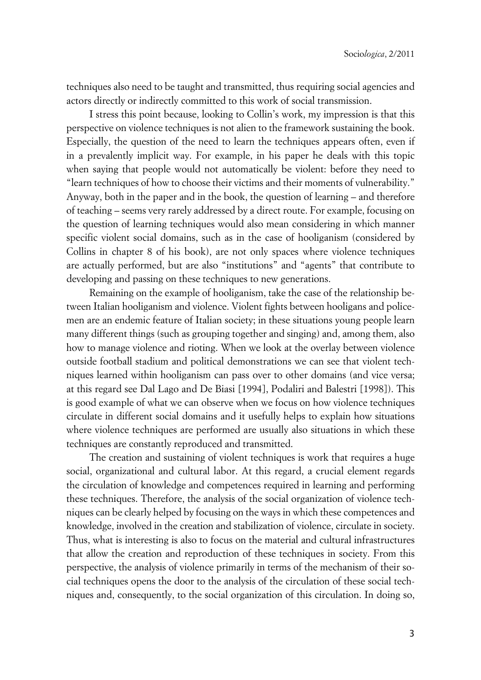techniques also need to be taught and transmitted, thus requiring social agencies and actors directly or indirectly committed to this work of social transmission.

I stress this point because, looking to Collin's work, my impression is that this perspective on violence techniques is not alien to the framework sustaining the book. Especially, the question of the need to learn the techniques appears often, even if in a prevalently implicit way. For example, in his paper he deals with this topic when saying that people would not automatically be violent: before they need to "learn techniques of how to choose their victims and their moments of vulnerability." Anyway, both in the paper and in the book, the question of learning – and therefore of teaching – seems very rarely addressed by a direct route. For example, focusing on the question of learning techniques would also mean considering in which manner specific violent social domains, such as in the case of hooliganism (considered by Collins in chapter 8 of his book), are not only spaces where violence techniques are actually performed, but are also "institutions" and "agents" that contribute to developing and passing on these techniques to new generations.

Remaining on the example of hooliganism, take the case of the relationship between Italian hooliganism and violence. Violent fights between hooligans and policemen are an endemic feature of Italian society; in these situations young people learn many different things (such as grouping together and singing) and, among them, also how to manage violence and rioting. When we look at the overlay between violence outside football stadium and political demonstrations we can see that violent techniques learned within hooliganism can pass over to other domains (and vice versa; at this regard see Dal Lago and De Biasi [1994], Podaliri and Balestri [1998]). This is good example of what we can observe when we focus on how violence techniques circulate in different social domains and it usefully helps to explain how situations where violence techniques are performed are usually also situations in which these techniques are constantly reproduced and transmitted.

The creation and sustaining of violent techniques is work that requires a huge social, organizational and cultural labor. At this regard, a crucial element regards the circulation of knowledge and competences required in learning and performing these techniques. Therefore, the analysis of the social organization of violence techniques can be clearly helped by focusing on the ways in which these competences and knowledge, involved in the creation and stabilization of violence, circulate in society. Thus, what is interesting is also to focus on the material and cultural infrastructures that allow the creation and reproduction of these techniques in society. From this perspective, the analysis of violence primarily in terms of the mechanism of their social techniques opens the door to the analysis of the circulation of these social techniques and, consequently, to the social organization of this circulation. In doing so,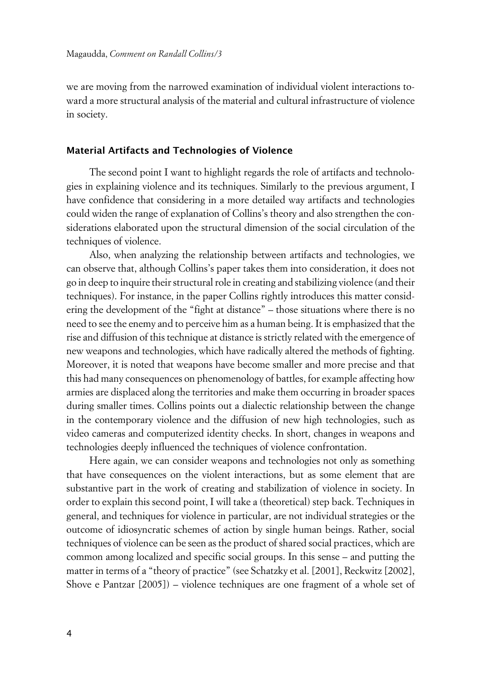we are moving from the narrowed examination of individual violent interactions toward a more structural analysis of the material and cultural infrastructure of violence in society.

#### **xMaterial Artifacts and Technologies of Violence**

The second point I want to highlight regards the role of artifacts and technologies in explaining violence and its techniques. Similarly to the previous argument, I have confidence that considering in a more detailed way artifacts and technologies could widen the range of explanation of Collins's theory and also strengthen the considerations elaborated upon the structural dimension of the social circulation of the techniques of violence.

Also, when analyzing the relationship between artifacts and technologies, we can observe that, although Collins's paper takes them into consideration, it does not go in deep to inquire their structural role in creating and stabilizing violence (and their techniques). For instance, in the paper Collins rightly introduces this matter considering the development of the "fight at distance" – those situations where there is no need to see the enemy and to perceive him as a human being. It is emphasized that the rise and diffusion of this technique at distance is strictly related with the emergence of new weapons and technologies, which have radically altered the methods of fighting. Moreover, it is noted that weapons have become smaller and more precise and that this had many consequences on phenomenology of battles, for example affecting how armies are displaced along the territories and make them occurring in broader spaces during smaller times. Collins points out a dialectic relationship between the change in the contemporary violence and the diffusion of new high technologies, such as video cameras and computerized identity checks. In short, changes in weapons and technologies deeply influenced the techniques of violence confrontation.

Here again, we can consider weapons and technologies not only as something that have consequences on the violent interactions, but as some element that are substantive part in the work of creating and stabilization of violence in society. In order to explain this second point, I will take a (theoretical) step back. Techniques in general, and techniques for violence in particular, are not individual strategies or the outcome of idiosyncratic schemes of action by single human beings. Rather, social techniques of violence can be seen as the product of shared social practices, which are common among localized and specific social groups. In this sense – and putting the matter in terms of a "theory of practice" (see Schatzky et al. [2001], Reckwitz [2002], Shove e Pantzar [2005]) – violence techniques are one fragment of a whole set of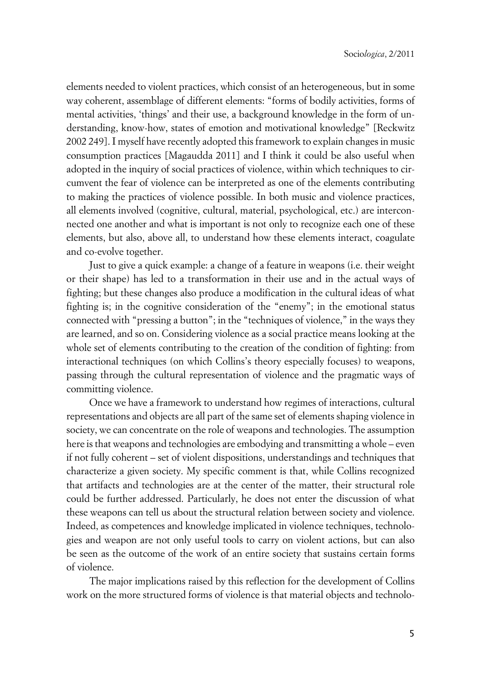elements needed to violent practices, which consist of an heterogeneous, but in some way coherent, assemblage of different elements: "forms of bodily activities, forms of mental activities, 'things' and their use, a background knowledge in the form of understanding, know-how, states of emotion and motivational knowledge" [Reckwitz 2002 249]. I myself have recently adopted this framework to explain changes in music consumption practices [Magaudda 2011] and I think it could be also useful when adopted in the inquiry of social practices of violence, within which techniques to circumvent the fear of violence can be interpreted as one of the elements contributing to making the practices of violence possible. In both music and violence practices, all elements involved (cognitive, cultural, material, psychological, etc.) are interconnected one another and what is important is not only to recognize each one of these elements, but also, above all, to understand how these elements interact, coagulate and co-evolve together.

Just to give a quick example: a change of a feature in weapons (i.e. their weight or their shape) has led to a transformation in their use and in the actual ways of fighting; but these changes also produce a modification in the cultural ideas of what fighting is; in the cognitive consideration of the "enemy"; in the emotional status connected with "pressing a button"; in the "techniques of violence," in the ways they are learned, and so on. Considering violence as a social practice means looking at the whole set of elements contributing to the creation of the condition of fighting: from interactional techniques (on which Collins's theory especially focuses) to weapons, passing through the cultural representation of violence and the pragmatic ways of committing violence.

Once we have a framework to understand how regimes of interactions, cultural representations and objects are all part of the same set of elements shaping violence in society, we can concentrate on the role of weapons and technologies. The assumption here is that weapons and technologies are embodying and transmitting a whole – even if not fully coherent – set of violent dispositions, understandings and techniques that characterize a given society. My specific comment is that, while Collins recognized that artifacts and technologies are at the center of the matter, their structural role could be further addressed. Particularly, he does not enter the discussion of what these weapons can tell us about the structural relation between society and violence. Indeed, as competences and knowledge implicated in violence techniques, technologies and weapon are not only useful tools to carry on violent actions, but can also be seen as the outcome of the work of an entire society that sustains certain forms of violence.

The major implications raised by this reflection for the development of Collins work on the more structured forms of violence is that material objects and technolo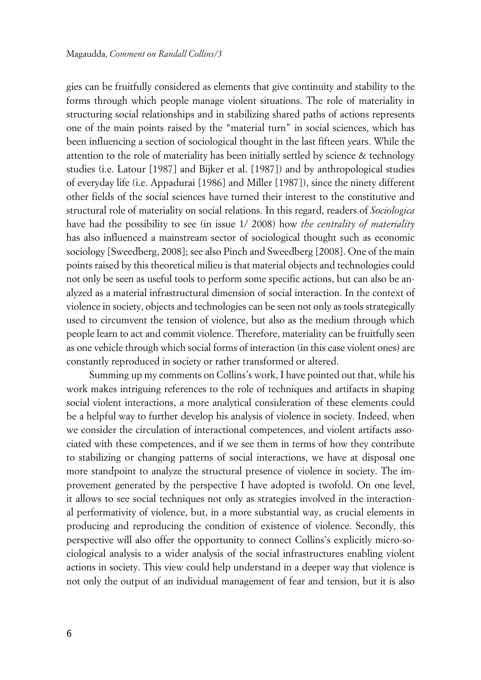gies can be fruitfully considered as elements that give continuity and stability to the forms through which people manage violent situations. The role of materiality in structuring social relationships and in stabilizing shared paths of actions represents one of the main points raised by the "material turn" in social sciences, which has been influencing a section of sociological thought in the last fifteen years. While the attention to the role of materiality has been initially settled by science & technology studies (i.e. Latour [1987] and Bijker et al. [1987]) and by anthropological studies of everyday life (i.e. Appadurai [1986] and Miller [1987]), since the ninety different other fields of the social sciences have turned their interest to the constitutive and structural role of materiality on social relations. In this regard, readers of *Sociologica* have had the possibility to see (in issue 1/ 2008) how *the centrality of materiality* has also influenced a mainstream sector of sociological thought such as economic sociology [Sweedberg, 2008]; see also Pinch and Sweedberg [2008]. One of the main points raised by this theoretical milieu is that material objects and technologies could not only be seen as useful tools to perform some specific actions, but can also be analyzed as a material infrastructural dimension of social interaction. In the context of violence in society, objects and technologies can be seen not only as tools strategically used to circumvent the tension of violence, but also as the medium through which people learn to act and commit violence. Therefore, materiality can be fruitfully seen as one vehicle through which social forms of interaction (in this case violent ones) are constantly reproduced in society or rather transformed or altered.

Summing up my comments on Collins's work, I have pointed out that, while his work makes intriguing references to the role of techniques and artifacts in shaping social violent interactions, a more analytical consideration of these elements could be a helpful way to further develop his analysis of violence in society. Indeed, when we consider the circulation of interactional competences, and violent artifacts associated with these competences, and if we see them in terms of how they contribute to stabilizing or changing patterns of social interactions, we have at disposal one more standpoint to analyze the structural presence of violence in society. The improvement generated by the perspective I have adopted is twofold. On one level, it allows to see social techniques not only as strategies involved in the interactional performativity of violence, but, in a more substantial way, as crucial elements in producing and reproducing the condition of existence of violence. Secondly, this perspective will also offer the opportunity to connect Collins's explicitly micro-sociological analysis to a wider analysis of the social infrastructures enabling violent actions in society. This view could help understand in a deeper way that violence is not only the output of an individual management of fear and tension, but it is also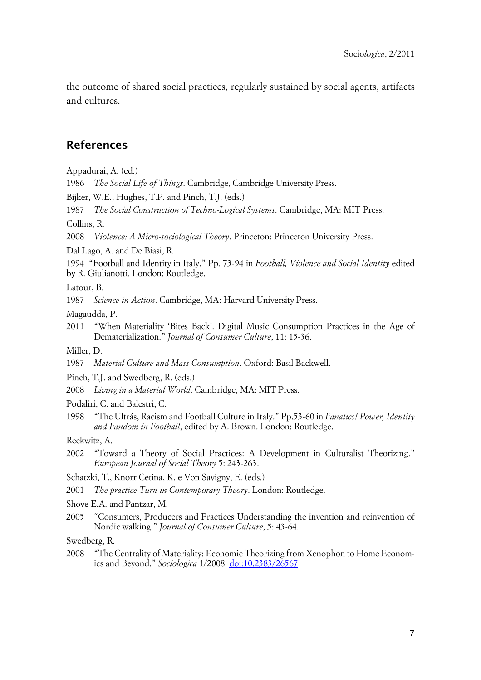the outcome of shared social practices, regularly sustained by social agents, artifacts and cultures.

### **References**

Appadurai, A. (ed.)

1986 *The Social Life of Things*. Cambridge, Cambridge University Press.

Bijker, W.E., Hughes, T.P. and Pinch, T.J. (eds.)

1987 *The Social Construction of Techno-Logical Systems*. Cambridge, MA: MIT Press.

Collins, R.

2008 *Violence: A Micro-sociological Theory*. Princeton: Princeton University Press.

Dal Lago, A. and De Biasi, R.

1994 "Football and Identity in Italy." Pp. 73-94 in *Football, Violence and Social Identity* edited by R. Giulianotti. London: Routledge.

Latour, B.

1987 *Science in Action*. Cambridge, MA: Harvard University Press.

Magaudda, P.

2011 "When Materiality 'Bites Back'. Digital Music Consumption Practices in the Age of Dematerialization." *Journal of Consumer Culture*, 11: 15-36.

Miller, D.

1987 *Material Culture and Mass Consumption*. Oxford: Basil Backwell.

Pinch, T.J. and Swedberg, R. (eds.)

2008 *Living in a Material World*. Cambridge, MA: MIT Press.

Podaliri, C. and Balestri, C.

1998 "The Ultrás, Racism and Football Culture in Italy." Pp.53-60 in *Fanatics! Power, Identity and Fandom in Football*, edited by A. Brown. London: Routledge.

Reckwitz, A.

2002 "Toward a Theory of Social Practices: A Development in Culturalist Theorizing." *European Journal of Social Theory* 5: 243-263.

Schatzki, T., Knorr Cetina, K. e Von Savigny, E. (eds.)

2001 *The practice Turn in Contemporary Theory*. London: Routledge.

Shove E.A. and Pantzar, M.

2005 "Consumers, Producers and Practices Understanding the invention and reinvention of Nordic walking." *Journal of Consumer Culture*, 5: 43-64.

Swedberg, R.

2008 "The Centrality of Materiality: Economic Theorizing from Xenophon to Home Economics and Beyond." *Sociologica* 1/2008. [doi:10.2383/26567](http://www.sociologica.mulino.it/doi/10.2383/26567)